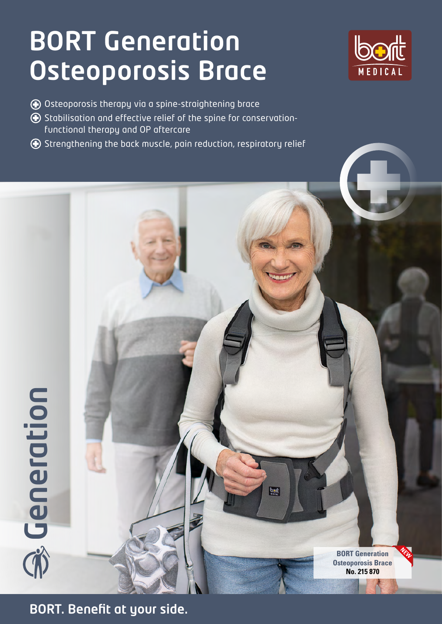## BORT Generation Osteoporosis Brace



- Osteoporosis therapy via a spine-straightening brace
- Stabilisation and effective relief of the spine for conservationfunctional therapy and OP aftercare
- Strengthening the back muscle, pain reduction, respiratory relief

**BORT Generation Osteoporosis Brace No. 215 870**

bon

**NEW**

**BORT. Benefit at your side.**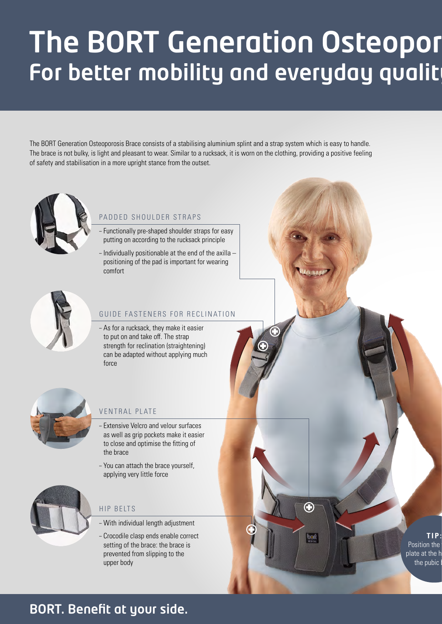## The BORT Generation Osteopor For better mobility and everyday qualit

The BORT Generation Osteoporosis Brace consists of a stabilising aluminium splint and a strap system which is easy to handle. The brace is not bulky, is light and pleasant to wear. Similar to a rucksack, it is worn on the clothing, providing a positive feeling of safety and stabilisation in a more upright stance from the outset.



### PADDED SHOULDER STRAPS

- Functionally pre-shaped shoulder straps for easy putting on according to the rucksack principle
- Individually positionable at the end of the axilla positioning of the pad is important for wearing comfort



#### GUIDE FASTENERS FOR RECLINATION

– As for a rucksack, they make it easier to put on and take off. The strap strength for reclination (straightening) can be adapted without applying much force



### VENTRAL PLATE

- Extensive Velcro and velour surfaces as well as grip pockets make it easier to close and optimise the fitting of the brace
- You can attach the brace yourself, applying very little force



### HIP BELTS

- With individual length adjustment
- Crocodile clasp ends enable correct setting of the brace: the brace is prevented from slipping to the upper body

**TIP:** Position the plate at the h the pubic

G

bont

### BORT. Benefit at your side.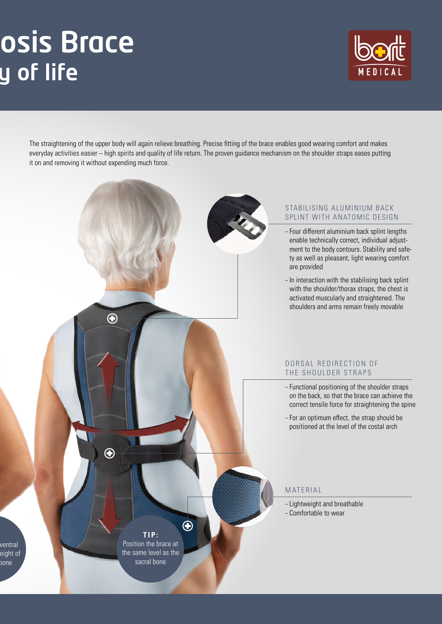## osis Brace y of life



The straightening of the upper body will again relieve breathing. Precise fitting of the brace enables good wearing comfort and makes everyday activities easier – high spirits and quality of life return. The proven guidance mechanism on the shoulder straps eases putting it on and removing it without expending much force.